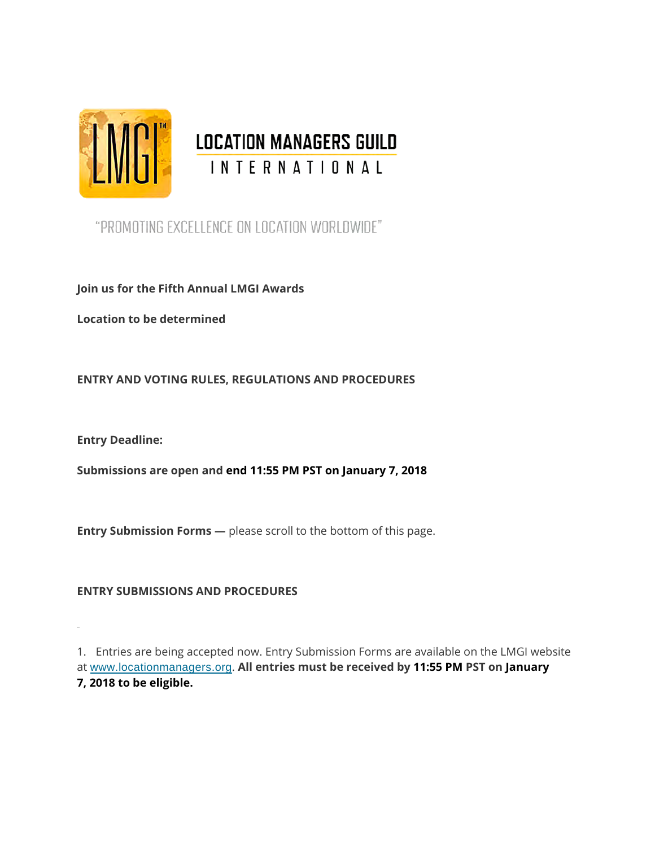

# ENCE LOCATION MANAGERS GUILD

"PROMOTING EXCELLENCE ON LOCATION WORLDWIDE"

**Join us for the Fifth Annual LMGI Awards**

**Location to be determined**

**ENTRY AND VOTING RULES, REGULATIONS AND PROCEDURES**

**Entry Deadline:**

 $\mathbf{r}$ 

**Submissions are open and end 11:55 PM PST on January 7, 2018**

**Entry Submission Forms** — please scroll to the bottom of this page.

**ENTRY SUBMISSIONS AND PROCEDURES**

1. Entries are being accepted now. Entry Submission Forms are available on the LMGI website at [www.locationmanagers.org](http://www.locationmanagers.org/). **All entries must be received by 11:55 PM PST on January 7, 2018 to be eligible.**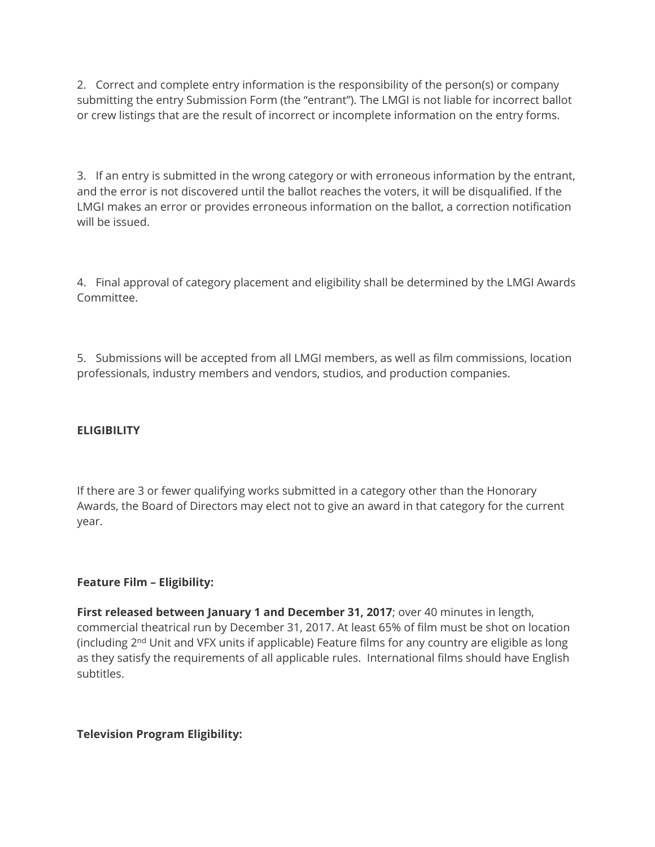2. Correct and complete entry information is the responsibility of the person(s) or company submitting the entry Submission Form (the "entrant"). The LMGI is not liable for incorrect ballot or crew listings that are the result of incorrect or incomplete information on the entry forms.

3. If an entry is submitted in the wrong category or with erroneous information by the entrant, and the error is not discovered until the ballot reaches the voters, it will be disqualified. If the LMGI makes an error or provides erroneous information on the ballot, a correction notification will be issued.

4. Final approval of category placement and eligibility shall be determined by the LMGI Awards Committee.

5. Submissions will be accepted from all LMGI members, as well as film commissions, location professionals, industry members and vendors, studios, and production companies.

#### **ELIGIBILITY**

If there are 3 or fewer qualifying works submitted in a category other than the Honorary Awards, the Board of Directors may elect not to give an award in that category for the current year.

## **Feature Film – Eligibility:**

**First released between January 1 and December 31, 2017**; over 40 minutes in length, commercial theatrical run by December 31, 2017. At least 65% of film must be shot on location (including  $2<sup>nd</sup>$  Unit and VFX units if applicable) Feature films for any country are eligible as long as they satisfy the requirements of all applicable rules. International films should have English subtitles.

#### **Television Program Eligibility:**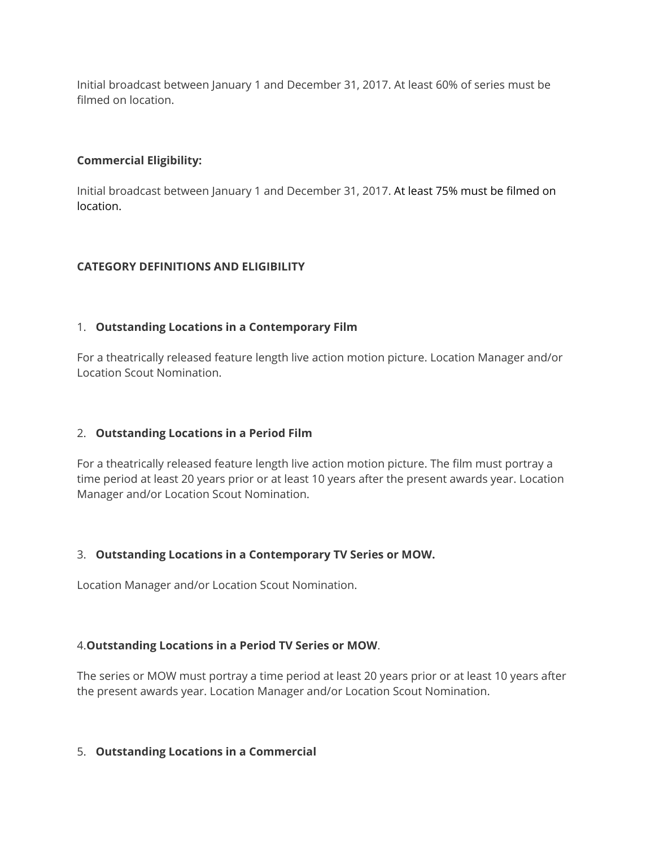Initial broadcast between January 1 and December 31, 2017. At least 60% of series must be filmed on location.

#### **Commercial Eligibility:**

Initial broadcast between January 1 and December 31, 2017. At least 75% must be filmed on location.

## **CATEGORY DEFINITIONS AND ELIGIBILITY**

#### 1. **Outstanding Locations in a Contemporary Film**

For a theatrically released feature length live action motion picture. Location Manager and/or Location Scout Nomination.

## 2. **Outstanding Locations in a Period Film**

For a theatrically released feature length live action motion picture. The film must portray a time period at least 20 years prior or at least 10 years after the present awards year. Location Manager and/or Location Scout Nomination.

#### 3. **Outstanding Locations in a Contemporary TV Series or MOW.**

Location Manager and/or Location Scout Nomination.

## 4.**Outstanding Locations in a Period TV Series or MOW**.

The series or MOW must portray a time period at least 20 years prior or at least 10 years after the present awards year. Location Manager and/or Location Scout Nomination.

#### 5. **Outstanding Locations in a Commercial**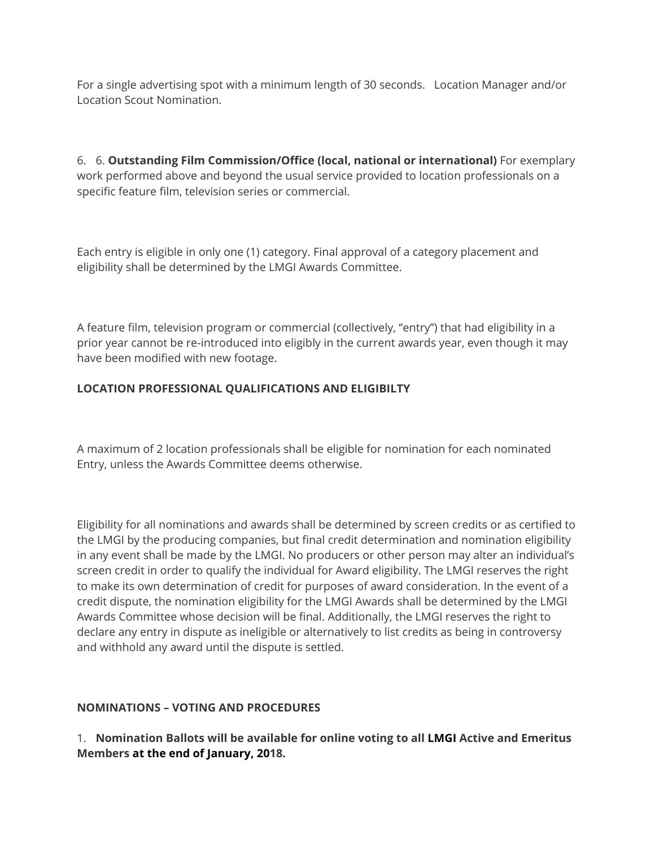For a single advertising spot with a minimum length of 30 seconds. Location Manager and/or Location Scout Nomination.

6. 6. **Outstanding Film Commission/Office (local, national or international)** For exemplary work performed above and beyond the usual service provided to location professionals on a specific feature film, television series or commercial.

Each entry is eligible in only one (1) category. Final approval of a category placement and eligibility shall be determined by the LMGI Awards Committee.

A feature film, television program or commercial (collectively, "entry") that had eligibility in a prior year cannot be re-introduced into eligibly in the current awards year, even though it may have been modified with new footage.

# **LOCATION PROFESSIONAL QUALIFICATIONS AND ELIGIBILTY**

A maximum of 2 location professionals shall be eligible for nomination for each nominated Entry, unless the Awards Committee deems otherwise.

Eligibility for all nominations and awards shall be determined by screen credits or as certified to the LMGI by the producing companies, but final credit determination and nomination eligibility in any event shall be made by the LMGI. No producers or other person may alter an individual's screen credit in order to qualify the individual for Award eligibility. The LMGI reserves the right to make its own determination of credit for purposes of award consideration. In the event of a credit dispute, the nomination eligibility for the LMGI Awards shall be determined by the LMGI Awards Committee whose decision will be final. Additionally, the LMGI reserves the right to declare any entry in dispute as ineligible or alternatively to list credits as being in controversy and withhold any award until the dispute is settled.

## **NOMINATIONS – VOTING AND PROCEDURES**

1. **Nomination Ballots will be available for online voting to all LMGI Active and Emeritus Members at the end of January, 2018.**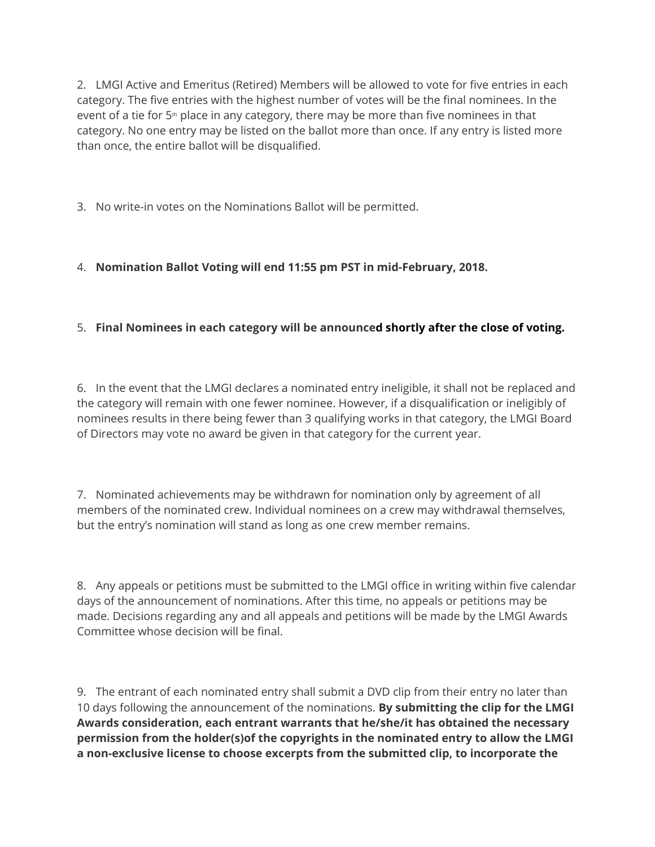2. LMGI Active and Emeritus (Retired) Members will be allowed to vote for five entries in each category. The five entries with the highest number of votes will be the final nominees. In the event of a tie for  $5<sup>th</sup>$  place in any category, there may be more than five nominees in that category. No one entry may be listed on the ballot more than once. If any entry is listed more than once, the entire ballot will be disqualified.

3. No write-in votes on the Nominations Ballot will be permitted.

# 4. **Nomination Ballot Voting will end 11:55 pm PST in mid-February, 2018.**

# 5. **Final Nominees in each category will be announced shortly after the close of voting.**

6. In the event that the LMGI declares a nominated entry ineligible, it shall not be replaced and the category will remain with one fewer nominee. However, if a disqualification or ineligibly of nominees results in there being fewer than 3 qualifying works in that category, the LMGI Board of Directors may vote no award be given in that category for the current year.

7. Nominated achievements may be withdrawn for nomination only by agreement of all members of the nominated crew. Individual nominees on a crew may withdrawal themselves, but the entry's nomination will stand as long as one crew member remains.

8. Any appeals or petitions must be submitted to the LMGI office in writing within five calendar days of the announcement of nominations. After this time, no appeals or petitions may be made. Decisions regarding any and all appeals and petitions will be made by the LMGI Awards Committee whose decision will be final.

9. The entrant of each nominated entry shall submit a DVD clip from their entry no later than 10 days following the announcement of the nominations. **By submitting the clip for the LMGI Awards consideration, each entrant warrants that he/she/it has obtained the necessary permission from the holder(s)of the copyrights in the nominated entry to allow the LMGI a non-exclusive license to choose excerpts from the submitted clip, to incorporate the**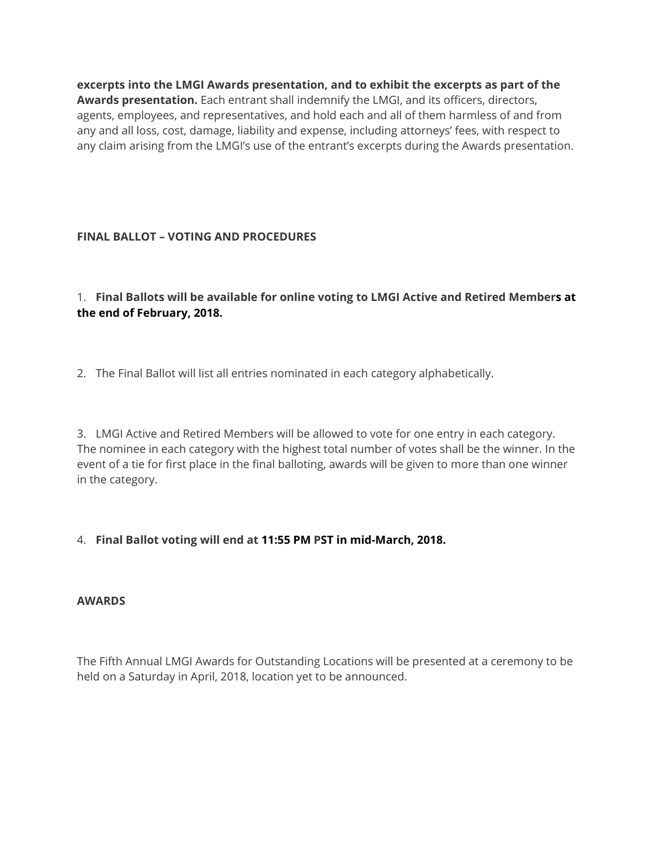**excerpts into the LMGI Awards presentation, and to exhibit the excerpts as part of the Awards presentation.** Each entrant shall indemnify the LMGI, and its officers, directors, agents, employees, and representatives, and hold each and all of them harmless of and from any and all loss, cost, damage, liability and expense, including attorneys' fees, with respect to any claim arising from the LMGI's use of the entrant's excerpts during the Awards presentation.

## **FINAL BALLOT – VOTING AND PROCEDURES**

1. **Final Ballots will be available for online voting to LMGI Active and Retired Members at the end of February, 2018.**

2. The Final Ballot will list all entries nominated in each category alphabetically.

3. LMGI Active and Retired Members will be allowed to vote for one entry in each category. The nominee in each category with the highest total number of votes shall be the winner. In the event of a tie for first place in the final balloting, awards will be given to more than one winner in the category.

# 4. **Final Ballot voting will end at 11:55 PM PST in mid-March, 2018.**

## **AWARDS**

The Fifth Annual LMGI Awards for Outstanding Locations will be presented at a ceremony to be held on a Saturday in April, 2018, location yet to be announced.